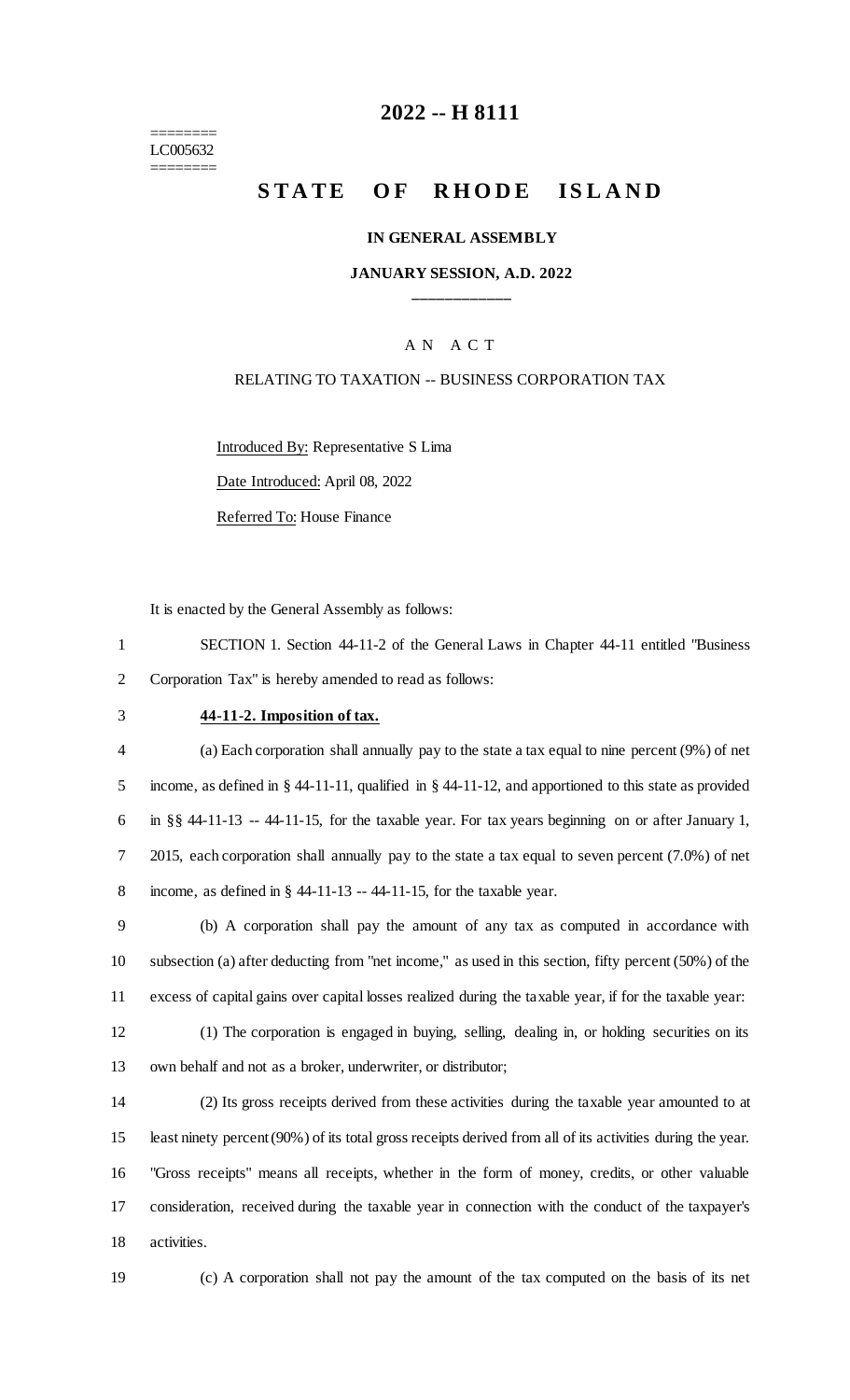======== LC005632 ========

## **-- H 8111**

# **STATE OF RHODE ISLAND**

#### **IN GENERAL ASSEMBLY**

### **JANUARY SESSION, A.D. 2022 \_\_\_\_\_\_\_\_\_\_\_\_**

### A N A C T

#### RELATING TO TAXATION -- BUSINESS CORPORATION TAX

Introduced By: Representative S Lima Date Introduced: April 08, 2022 Referred To: House Finance

It is enacted by the General Assembly as follows:

 SECTION 1. Section 44-11-2 of the General Laws in Chapter 44-11 entitled "Business Corporation Tax" is hereby amended to read as follows:

#### **44-11-2. Imposition of tax.**

 (a) Each corporation shall annually pay to the state a tax equal to nine percent (9%) of net income, as defined in § 44-11-11, qualified in § 44-11-12, and apportioned to this state as provided in §§ 44-11-13 -- 44-11-15, for the taxable year. For tax years beginning on or after January 1, 2015, each corporation shall annually pay to the state a tax equal to seven percent (7.0%) of net income, as defined in § 44-11-13 -- 44-11-15, for the taxable year.

 (b) A corporation shall pay the amount of any tax as computed in accordance with subsection (a) after deducting from "net income," as used in this section, fifty percent (50%) of the excess of capital gains over capital losses realized during the taxable year, if for the taxable year:

 (1) The corporation is engaged in buying, selling, dealing in, or holding securities on its own behalf and not as a broker, underwriter, or distributor;

 (2) Its gross receipts derived from these activities during the taxable year amounted to at least ninety percent (90%) of its total gross receipts derived from all of its activities during the year. "Gross receipts" means all receipts, whether in the form of money, credits, or other valuable consideration, received during the taxable year in connection with the conduct of the taxpayer's activities.

(c) A corporation shall not pay the amount of the tax computed on the basis of its net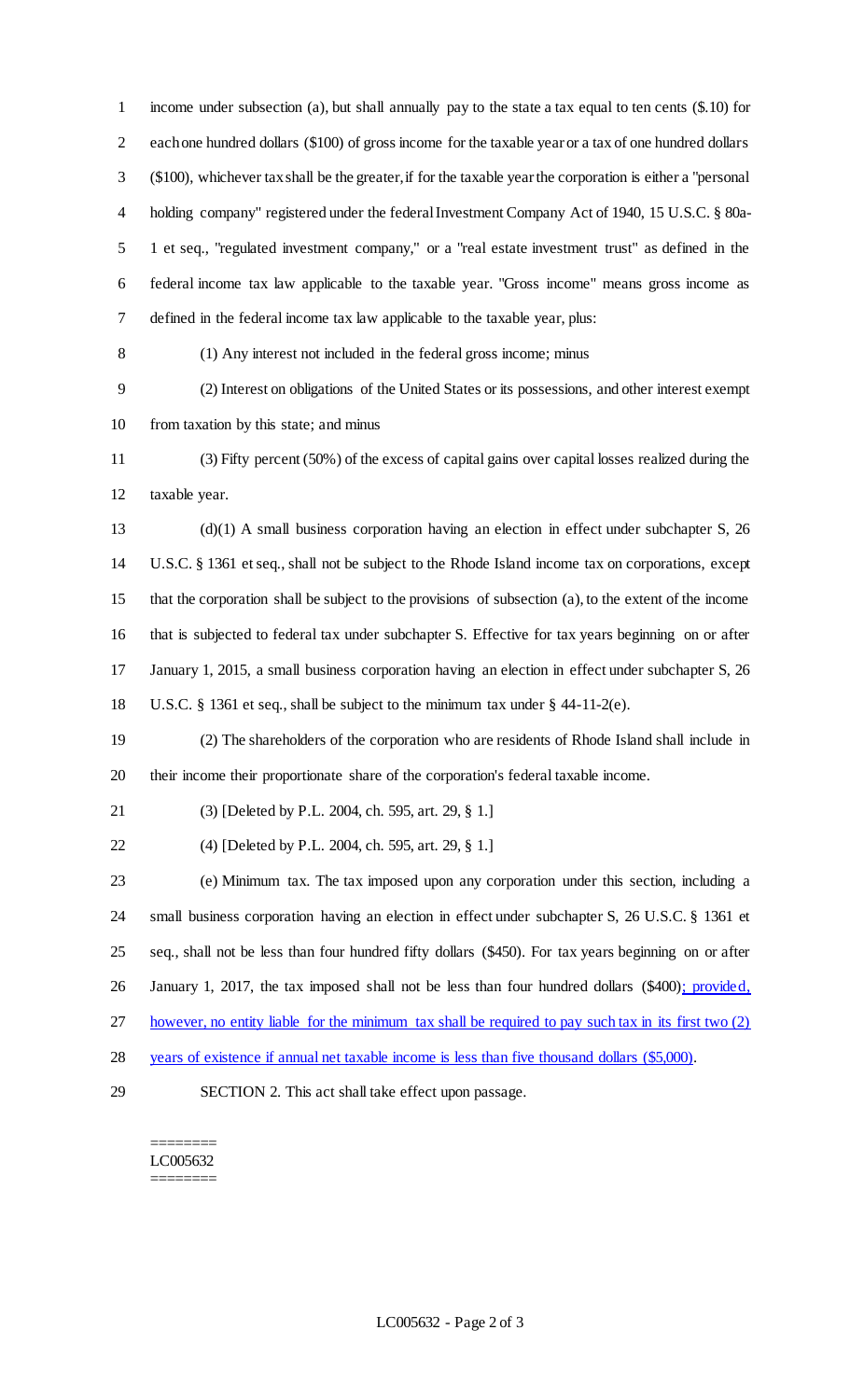income under subsection (a), but shall annually pay to the state a tax equal to ten cents (\$.10) for each one hundred dollars (\$100) of gross income for the taxable year or a tax of one hundred dollars (\$100), whichever tax shall be the greater, if for the taxable year the corporation is either a "personal holding company" registered under the federal Investment Company Act of 1940, 15 U.S.C. § 80a- 1 et seq., "regulated investment company," or a "real estate investment trust" as defined in the federal income tax law applicable to the taxable year. "Gross income" means gross income as defined in the federal income tax law applicable to the taxable year, plus: (1) Any interest not included in the federal gross income; minus (2) Interest on obligations of the United States or its possessions, and other interest exempt 10 from taxation by this state; and minus (3) Fifty percent (50%) of the excess of capital gains over capital losses realized during the taxable year. (d)(1) A small business corporation having an election in effect under subchapter S, 26 U.S.C. § 1361 et seq., shall not be subject to the Rhode Island income tax on corporations, except that the corporation shall be subject to the provisions of subsection (a), to the extent of the income that is subjected to federal tax under subchapter S. Effective for tax years beginning on or after January 1, 2015, a small business corporation having an election in effect under subchapter S, 26 U.S.C. § 1361 et seq., shall be subject to the minimum tax under § 44-11-2(e). (2) The shareholders of the corporation who are residents of Rhode Island shall include in their income their proportionate share of the corporation's federal taxable income. (3) [Deleted by P.L. 2004, ch. 595, art. 29, § 1.] (4) [Deleted by P.L. 2004, ch. 595, art. 29, § 1.] (e) Minimum tax. The tax imposed upon any corporation under this section, including a small business corporation having an election in effect under subchapter S, 26 U.S.C. § 1361 et seq., shall not be less than four hundred fifty dollars (\$450). For tax years beginning on or after 26 January 1, 2017, the tax imposed shall not be less than four hundred dollars (\$400); provided, however, no entity liable for the minimum tax shall be required to pay such tax in its first two (2) years of existence if annual net taxable income is less than five thousand dollars (\$5,000). SECTION 2. This act shall take effect upon passage.

======== LC005632 ========